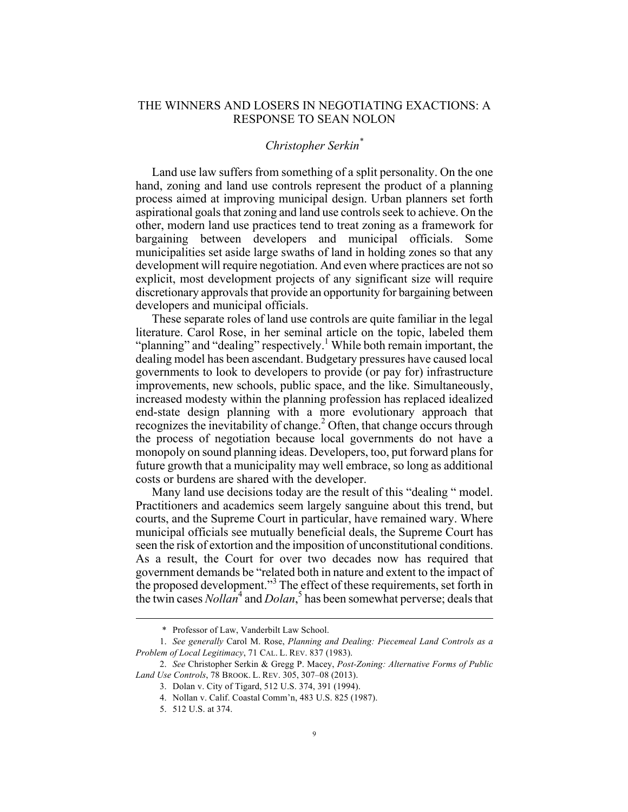## THE WINNERS AND LOSERS IN NEGOTIATING EXACTIONS: A RESPONSE TO SEAN NOLON

## *Christopher Serkin\**

Land use law suffers from something of a split personality. On the one hand, zoning and land use controls represent the product of a planning process aimed at improving municipal design. Urban planners set forth aspirational goals that zoning and land use controls seek to achieve. On the other, modern land use practices tend to treat zoning as a framework for bargaining between developers and municipal officials. Some municipalities set aside large swaths of land in holding zones so that any development will require negotiation. And even where practices are not so explicit, most development projects of any significant size will require discretionary approvals that provide an opportunity for bargaining between developers and municipal officials.

These separate roles of land use controls are quite familiar in the legal literature. Carol Rose, in her seminal article on the topic, labeled them "planning" and "dealing" respectively.<sup>1</sup> While both remain important, the dealing model has been ascendant. Budgetary pressures have caused local governments to look to developers to provide (or pay for) infrastructure improvements, new schools, public space, and the like. Simultaneously, increased modesty within the planning profession has replaced idealized end-state design planning with a more evolutionary approach that recognizes the inevitability of change.<sup>2</sup> Often, that change occurs through the process of negotiation because local governments do not have a monopoly on sound planning ideas. Developers, too, put forward plans for future growth that a municipality may well embrace, so long as additional costs or burdens are shared with the developer.

Many land use decisions today are the result of this "dealing " model. Practitioners and academics seem largely sanguine about this trend, but courts, and the Supreme Court in particular, have remained wary. Where municipal officials see mutually beneficial deals, the Supreme Court has seen the risk of extortion and the imposition of unconstitutional conditions. As a result, the Court for over two decades now has required that government demands be "related both in nature and extent to the impact of the proposed development."<sup>3</sup> The effect of these requirements, set forth in the twin cases *Nollan*<sup>4</sup> and *Dolan*<sup>5</sup> has been somewhat perverse; deals that

 <sup>\*</sup> Professor of Law, Vanderbilt Law School.

<sup>1.</sup> *See generally* Carol M. Rose, *Planning and Dealing: Piecemeal Land Controls as a Problem of Local Legitimacy*, 71 CAL. L. REV. 837 (1983).

<sup>2.</sup> *See* Christopher Serkin & Gregg P. Macey, *Post-Zoning: Alternative Forms of Public Land Use Controls*, 78 BROOK. L. REV. 305, 307–08 (2013).

<sup>3.</sup> Dolan v. City of Tigard, 512 U.S. 374, 391 (1994).

<sup>4.</sup> Nollan v. Calif. Coastal Comm'n, 483 U.S. 825 (1987).

<sup>5.</sup> 512 U.S. at 374.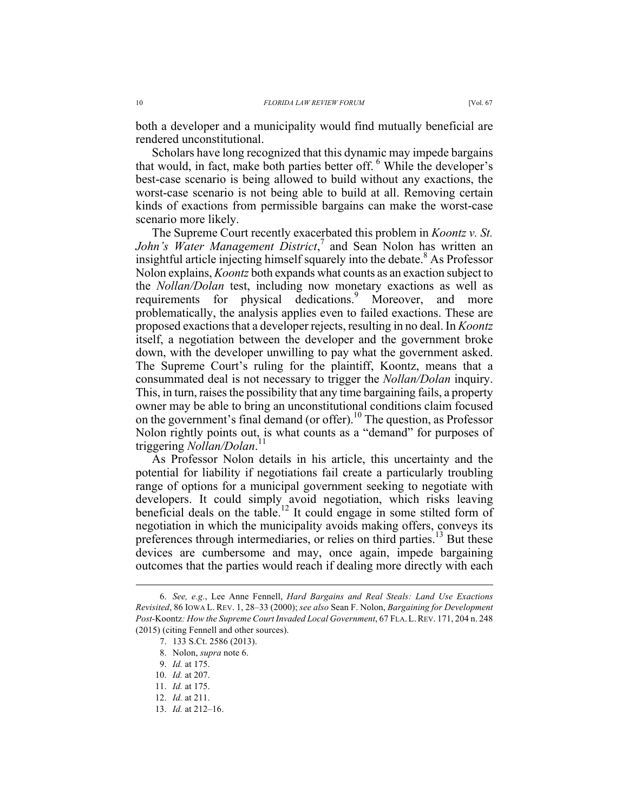both a developer and a municipality would find mutually beneficial are rendered unconstitutional.

Scholars have long recognized that this dynamic may impede bargains that would, in fact, make both parties better off. <sup>6</sup> While the developer's best-case scenario is being allowed to build without any exactions, the worst-case scenario is not being able to build at all. Removing certain kinds of exactions from permissible bargains can make the worst-case scenario more likely.

The Supreme Court recently exacerbated this problem in *Koontz v. St. John's Water Management District*, <sup>7</sup> and Sean Nolon has written an insightful article injecting himself squarely into the debate.<sup>8</sup> As Professor Nolon explains, *Koontz* both expands what counts as an exaction subject to the *Nollan/Dolan* test, including now monetary exactions as well as requirements for physical dedications.<sup>9</sup> Moreover, and more problematically, the analysis applies even to failed exactions. These are proposed exactions that a developer rejects, resulting in no deal. In *Koontz* itself, a negotiation between the developer and the government broke down, with the developer unwilling to pay what the government asked. The Supreme Court's ruling for the plaintiff, Koontz, means that a consummated deal is not necessary to trigger the *Nollan/Dolan* inquiry. This, in turn, raises the possibility that any time bargaining fails, a property owner may be able to bring an unconstitutional conditions claim focused on the government's final demand (or offer). <sup>10</sup> The question, as Professor Nolon rightly points out, is what counts as a "demand" for purposes of triggering *Nollan/Dolan*. 11

As Professor Nolon details in his article, this uncertainty and the potential for liability if negotiations fail create a particularly troubling range of options for a municipal government seeking to negotiate with developers. It could simply avoid negotiation, which risks leaving beneficial deals on the table.<sup>12</sup> It could engage in some stilted form of negotiation in which the municipality avoids making offers, conveys its preferences through intermediaries, or relies on third parties.<sup>13</sup> But these devices are cumbersome and may, once again, impede bargaining outcomes that the parties would reach if dealing more directly with each

 <sup>6.</sup> *See, e.g.*, Lee Anne Fennell, *Hard Bargains and Real Steals: Land Use Exactions Revisited*, 86 IOWA L. REV. 1, 28–33 (2000); *see also* Sean F. Nolon, *Bargaining for Development Post-*Koontz*: How the Supreme Court Invaded Local Government*, 67 FLA.L.REV. 171, 204 n. 248 (2015) (citing Fennell and other sources).

<sup>7.</sup> 133 S.Ct. 2586 (2013).

<sup>8.</sup> Nolon, *supra* note 6.

<sup>9.</sup> *Id.* at 175.

<sup>10.</sup> *Id.* at 207.

<sup>11.</sup> *Id.* at 175.

<sup>12.</sup> *Id.* at 211.

<sup>13.</sup> *Id.* at 212–16.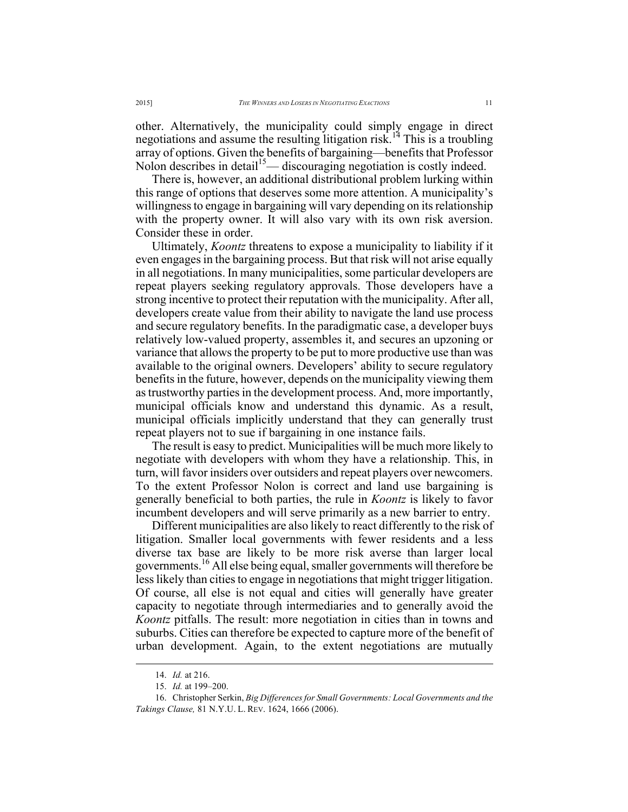other. Alternatively, the municipality could simply engage in direct negotiations and assume the resulting litigation risk.<sup>14</sup> This is a troubling array of options. Given the benefits of bargaining—benefits that Professor Nolon describes in detail<sup>15</sup>— discouraging negotiation is costly indeed.

There is, however, an additional distributional problem lurking within this range of options that deserves some more attention. A municipality's willingness to engage in bargaining will vary depending on its relationship with the property owner. It will also vary with its own risk aversion. Consider these in order.

Ultimately, *Koontz* threatens to expose a municipality to liability if it even engages in the bargaining process. But that risk will not arise equally in all negotiations. In many municipalities, some particular developers are repeat players seeking regulatory approvals. Those developers have a strong incentive to protect their reputation with the municipality. After all, developers create value from their ability to navigate the land use process and secure regulatory benefits. In the paradigmatic case, a developer buys relatively low-valued property, assembles it, and secures an upzoning or variance that allows the property to be put to more productive use than was available to the original owners. Developers' ability to secure regulatory benefits in the future, however, depends on the municipality viewing them as trustworthy parties in the development process. And, more importantly, municipal officials know and understand this dynamic. As a result, municipal officials implicitly understand that they can generally trust repeat players not to sue if bargaining in one instance fails.

The result is easy to predict. Municipalities will be much more likely to negotiate with developers with whom they have a relationship. This, in turn, will favor insiders over outsiders and repeat players over newcomers. To the extent Professor Nolon is correct and land use bargaining is generally beneficial to both parties, the rule in *Koontz* is likely to favor incumbent developers and will serve primarily as a new barrier to entry.

Different municipalities are also likely to react differently to the risk of litigation. Smaller local governments with fewer residents and a less diverse tax base are likely to be more risk averse than larger local governments.<sup>16</sup> All else being equal, smaller governments will therefore be less likely than cities to engage in negotiations that might trigger litigation. Of course, all else is not equal and cities will generally have greater capacity to negotiate through intermediaries and to generally avoid the *Koontz* pitfalls. The result: more negotiation in cities than in towns and suburbs. Cities can therefore be expected to capture more of the benefit of urban development. Again, to the extent negotiations are mutually

 <sup>14.</sup> *Id.* at 216.

<sup>15.</sup> *Id.* at 199–200.

<sup>16.</sup> Christopher Serkin, *Big Differences for Small Governments: Local Governments and the Takings Clause,* 81 N.Y.U. L. REV. 1624, 1666 (2006).